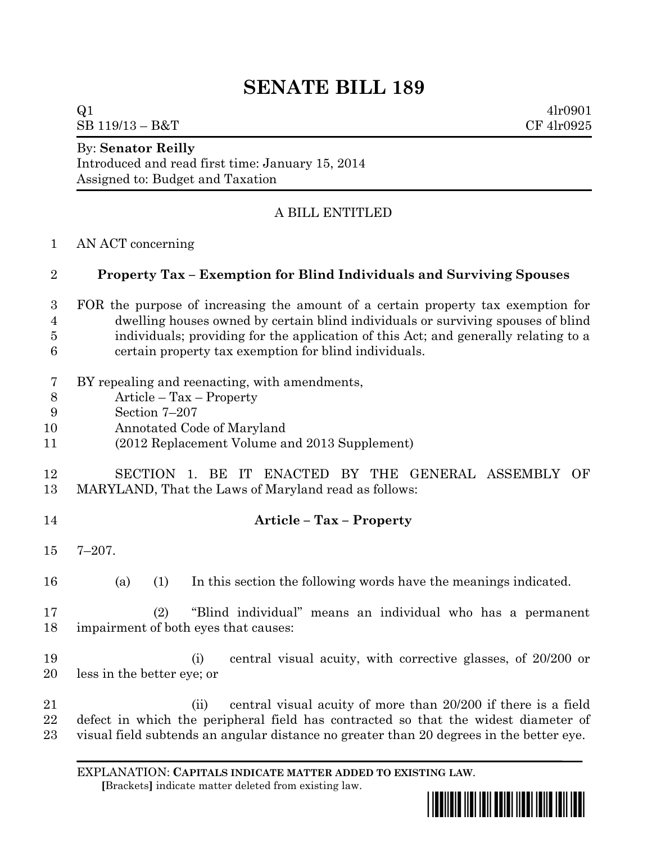# **SENATE BILL 189**

 $Q1$  4lr0901

 $SB\ 119/13 - B&T$  CF 4lr0925

#### By: **Senator Reilly**

Introduced and read first time: January 15, 2014 Assigned to: Budget and Taxation

## A BILL ENTITLED

AN ACT concerning

### **Property Tax – Exemption for Blind Individuals and Surviving Spouses**

- FOR the purpose of increasing the amount of a certain property tax exemption for dwelling houses owned by certain blind individuals or surviving spouses of blind individuals; providing for the application of this Act; and generally relating to a certain property tax exemption for blind individuals.
- BY repealing and reenacting, with amendments,
- Article Tax Property
- Section 7–207
- Annotated Code of Maryland
- (2012 Replacement Volume and 2013 Supplement)

## SECTION 1. BE IT ENACTED BY THE GENERAL ASSEMBLY OF MARYLAND, That the Laws of Maryland read as follows:

- **Article – Tax – Property**
- 7–207.
- (a) (1) In this section the following words have the meanings indicated.

## (2) "Blind individual" means an individual who has a permanent impairment of both eyes that causes:

- (i) central visual acuity, with corrective glasses, of 20/200 or less in the better eye; or
- (ii) central visual acuity of more than 20/200 if there is a field defect in which the peripheral field has contracted so that the widest diameter of visual field subtends an angular distance no greater than 20 degrees in the better eye.

EXPLANATION: **CAPITALS INDICATE MATTER ADDED TO EXISTING LAW**.  **[**Brackets**]** indicate matter deleted from existing law.

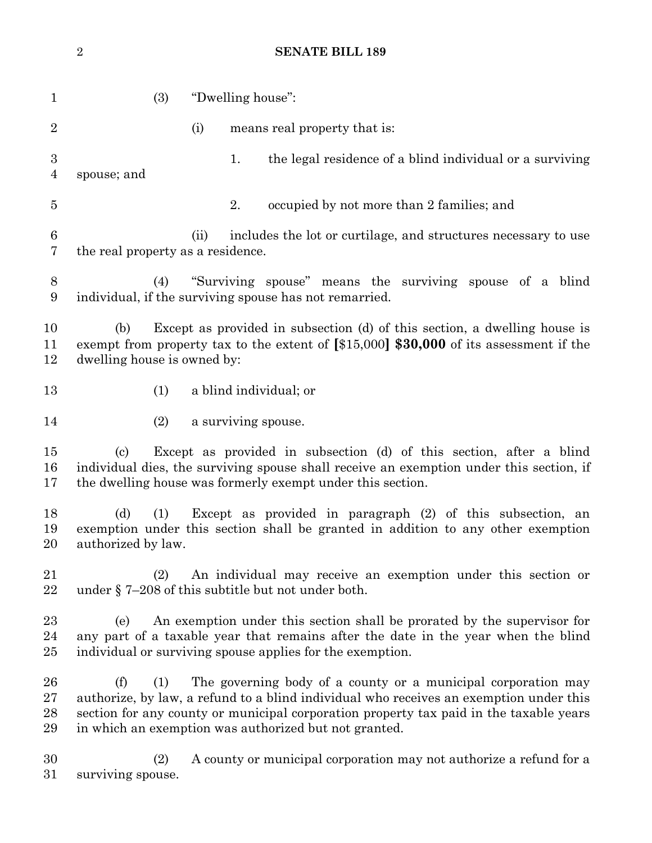**SENATE BILL 189** (3) "Dwelling house": 2 (i) means real property that is: 1. the legal residence of a blind individual or a surviving spouse; and 2. occupied by not more than 2 families; and (ii) includes the lot or curtilage, and structures necessary to use the real property as a residence. (4) "Surviving spouse" means the surviving spouse of a blind individual, if the surviving spouse has not remarried. (b) Except as provided in subsection (d) of this section, a dwelling house is exempt from property tax to the extent of **[**\$15,000**] \$30,000** of its assessment if the dwelling house is owned by: (1) a blind individual; or 14 (2) a surviving spouse. (c) Except as provided in subsection (d) of this section, after a blind individual dies, the surviving spouse shall receive an exemption under this section, if the dwelling house was formerly exempt under this section. (d) (1) Except as provided in paragraph (2) of this subsection, an exemption under this section shall be granted in addition to any other exemption authorized by law. (2) An individual may receive an exemption under this section or under § 7–208 of this subtitle but not under both. (e) An exemption under this section shall be prorated by the supervisor for any part of a taxable year that remains after the date in the year when the blind individual or surviving spouse applies for the exemption. (f) (1) The governing body of a county or a municipal corporation may authorize, by law, a refund to a blind individual who receives an exemption under this section for any county or municipal corporation property tax paid in the taxable years in which an exemption was authorized but not granted. (2) A county or municipal corporation may not authorize a refund for a surviving spouse.